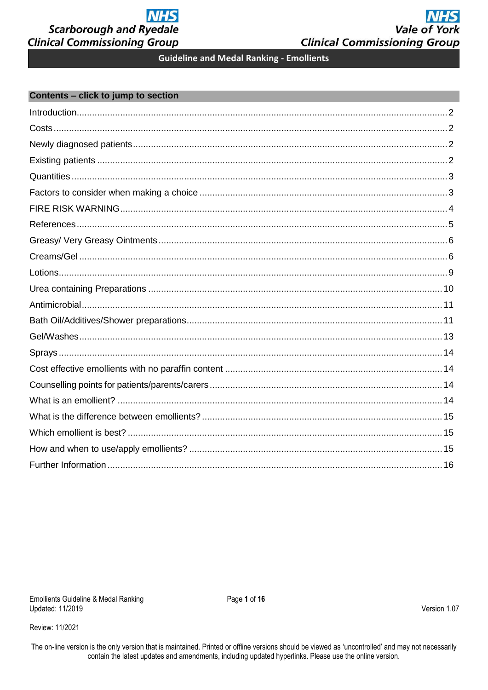# **NHS Vale of York Clinical Commissioning Group**

**Guideline and Medal Ranking - Emollients** 

### <span id="page-0-0"></span>Contents - click to jump to section

Review: 11/2021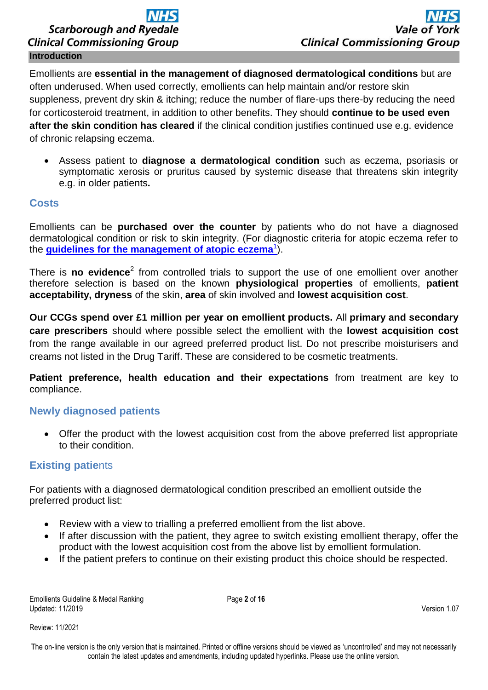# **Scarborough and Ryedale Clinical Commissioning Group Introduction**

<span id="page-1-0"></span>Emollients are **essential in the management of diagnosed dermatological conditions** but are often underused. When used correctly, emollients can help maintain and/or restore skin suppleness, prevent dry skin & itching; reduce the number of flare-ups there-by reducing the need for corticosteroid treatment, in addition to other benefits. They should **continue to be used even after the skin condition has cleared** if the clinical condition justifies continued use e.g. evidence of chronic relapsing eczema.

 Assess patient to **diagnose a dermatological condition** such as eczema, psoriasis or symptomatic xerosis or pruritus caused by systemic disease that threatens skin integrity e.g. in older patients**.** 

## <span id="page-1-1"></span>**Costs**

Emollients can be **purchased over the counter** by patients who do not have a diagnosed dermatological condition or risk to skin integrity. (For diagnostic criteria for atopic eczema refer to the **[guidelines for the management of atopic eczema](http://www.pcds.org.uk/images/stories/pcdsbad-eczema.pdf)**<sup>1</sup>).

There is **no evidence**<sup>2</sup> from controlled trials to support the use of one emollient over another therefore selection is based on the known **physiological properties** of emollients, **patient acceptability, dryness** of the skin, **area** of skin involved and **lowest acquisition cost**.

**Our CCGs spend over £1 million per year on emollient products.** All **primary and secondary care prescribers** should where possible select the emollient with the **lowest acquisition cost**  from the range available in our agreed preferred product list. Do not prescribe moisturisers and creams not listed in the Drug Tariff. These are considered to be cosmetic treatments.

**Patient preference, health education and their expectations** from treatment are key to compliance.

# <span id="page-1-2"></span>**Newly diagnosed patients**

 Offer the product with the lowest acquisition cost from the above preferred list appropriate to their condition.

# <span id="page-1-3"></span>**Existing patie**nts

For patients with a diagnosed dermatological condition prescribed an emollient outside the preferred product list:

- Review with a view to trialling a preferred emollient from the list above.
- If after discussion with the patient, they agree to switch existing emollient therapy, offer the product with the lowest acquisition cost from the above list by emollient formulation.
- If the patient prefers to continue on their existing product this choice should be respected.

Emollients Guideline & Medal Ranking **Page 2** of 16 Updated: 11/2019 Version 1.07

Review: 11/2021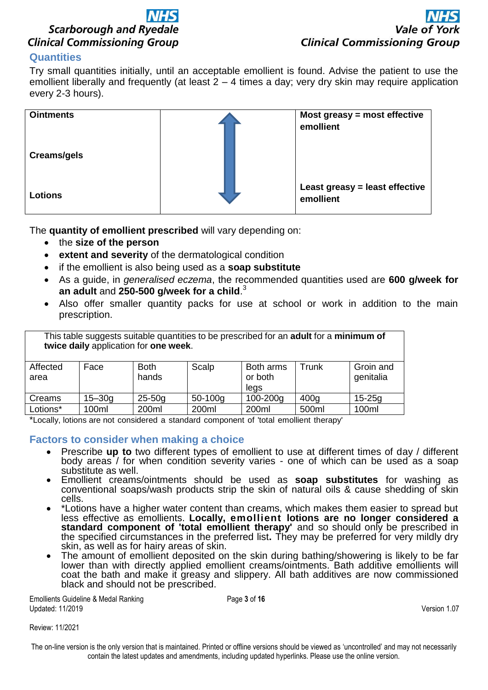

# <span id="page-2-0"></span>**Quantities**

Try small quantities initially, until an acceptable emollient is found. Advise the patient to use the emollient liberally and frequently (at least 2 – 4 times a day; very dry skin may require application every 2-3 hours).



The **quantity of emollient prescribed** will vary depending on:

- the **size of the person**
- **extent and severity** of the dermatological condition
- if the emollient is also being used as a **soap substitute**
- As a guide, in *generalised eczema*, the recommended quantities used are **600 g/week for an adult** and **250-500 g/week for a child**. 3
- Also offer smaller quantity packs for use at school or work in addition to the main prescription.

| This table suggests suitable quantities to be prescribed for an <b>adult</b> for a minimum of<br>twice daily application for one week. |            |                      |           |                              |                  |                        |
|----------------------------------------------------------------------------------------------------------------------------------------|------------|----------------------|-----------|------------------------------|------------------|------------------------|
| Affected<br>area                                                                                                                       | Face       | <b>Both</b><br>hands | Scalp     | Both arms<br>or both<br>legs | Trunk            | Groin and<br>genitalia |
| Creams                                                                                                                                 | $15 - 30q$ | $25 - 50g$           | $50-100g$ | 100-200g                     | 400 <sub>q</sub> | $15 - 25q$             |
| Lotions*                                                                                                                               | 100ml      | 200ml                | 200ml     | 200ml                        | 500ml            | 100ml                  |

\*Locally, lotions are not considered a standard component of 'total emollient therapy'

### <span id="page-2-1"></span>**Factors to consider when making a choice**

- Prescribe **up to** two different types of emollient to use at different times of day / different body areas / for when condition severity varies - one of which can be used as a soap substitute as well.
- Emollient creams/ointments should be used as **soap substitutes** for washing as conventional soaps/wash products strip the skin of natural oils & cause shedding of skin cells.
- \*Lotions have a higher water content than creams, which makes them easier to spread but less effective as emollients. **Locally, emollient lotions are no longer considered a standard component of 'total emollient therapy'** and so should only be prescribed in the specified circumstances in the preferred list**.** They may be preferred for very mildly dry skin, as well as for hairy areas of skin.
- The amount of emollient deposited on the skin during bathing/showering is likely to be far lower than with directly applied emollient creams/ointments. Bath additive emollients will coat the bath and make it greasy and slippery. All bath additives are now commissioned black and should not be prescribed.

Emollients Guideline & Medal Ranking **Page 3** of 16 Updated: 11/2019 Version 1.07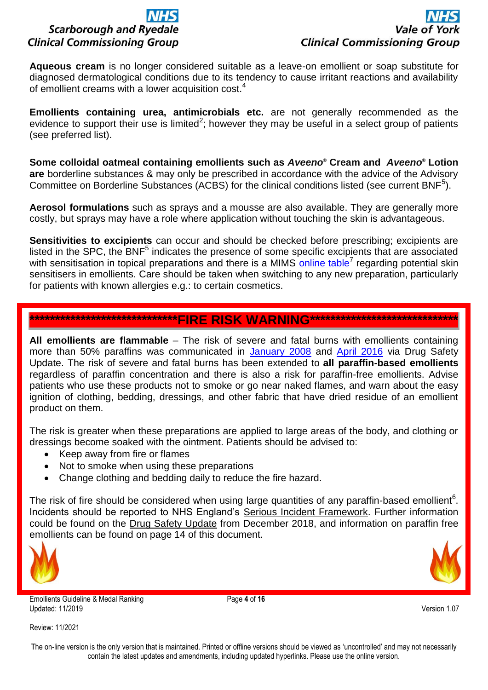**Aqueous cream** is no longer considered suitable as a leave-on emollient or soap substitute for diagnosed dermatological conditions due to its tendency to cause irritant reactions and availability of emollient creams with a lower acquisition cost.<sup>4</sup>

**Emollients containing urea, antimicrobials etc.** are not generally recommended as the evidence to support their use is limited<sup>2</sup>; however they may be useful in a select group of patients (see preferred list).

**Some colloidal oatmeal containing emollients such as** *Aveeno***® Cream and** *Aveeno***® Lotion are** borderline substances & may only be prescribed in accordance with the advice of the Advisory Committee on Borderline Substances (ACBS) for the clinical conditions listed (see current BNF ${}^{5}$ ).

**Aerosol formulations** such as sprays and a mousse are also available. They are generally more costly, but sprays may have a role where application without touching the skin is advantageous.

**Sensitivities to excipients** can occur and should be checked before prescribing; excipients are listed in the SPC, the BNF<sup>5</sup> indicates the presence of some specific excipients that are associated with sensitisation in topical preparations and there is a MIMS [online table](http://www.mims.co.uk/emollients-potential-skin-sensitisers-ingredients/dermatology/article/882437)<sup>7</sup> regarding potential skin sensitisers in emollients. Care should be taken when switching to any new preparation, particularly for patients with known allergies e.g.: to certain cosmetics.

# <span id="page-3-0"></span>\*\*\*\*\*\*\*\*\*\*\*\*\*\*\*\*\*\*\*\*\*\*\*\*\*\*\*\*\*\*\*\*\*FIRE RISK WARNING

**All emollients are flammable** – The risk of severe and fatal burns with emollients containing more than 50% paraffins was communicated in [January 2008](https://www.gov.uk/drug-safety-update/paraffin-based-treatments-risk-of-fire-hazard) and [April 2016](https://www.gov.uk/drug-safety-update/paraffin-based-skin-emollients-on-dressings-or-clothing-fire-risk) via Drug Safety Update. The risk of severe and fatal burns has been extended to **all paraffin-based emollients** regardless of paraffin concentration and there is also a risk for paraffin-free emollients. Advise patients who use these products not to smoke or go near naked flames, and warn about the easy ignition of clothing, bedding, dressings, and other fabric that have dried residue of an emollient product on them.

The risk is greater when these preparations are applied to large areas of the body, and clothing or dressings become soaked with the ointment. Patients should be advised to:

- Keep away from fire or flames
- Not to smoke when using these preparations
- Change clothing and bedding daily to reduce the fire hazard.

The risk of fire should be considered when using large quantities of any paraffin-based emollient<sup>6</sup>. Incidents should be reported to NHS England's [Serious Incident Framework.](https://improvement.nhs.uk/resources/serious-incident-framework/) Further information could be found on the [Drug Safety Update](https://www.gov.uk/drug-safety-update/emollients-new-information-about-risk-of-severe-and-fatal-burns-with-paraffin-containing-and-paraffin-free-emollients#mechanism-of-the-risk) from December 2018, and information on paraffin free emollients can be found on page 14 of this document.



Emollients Guideline & Medal Ranking **Page 4** of **16** Updated: 11/2019 Version 1.07

Review: 11/2021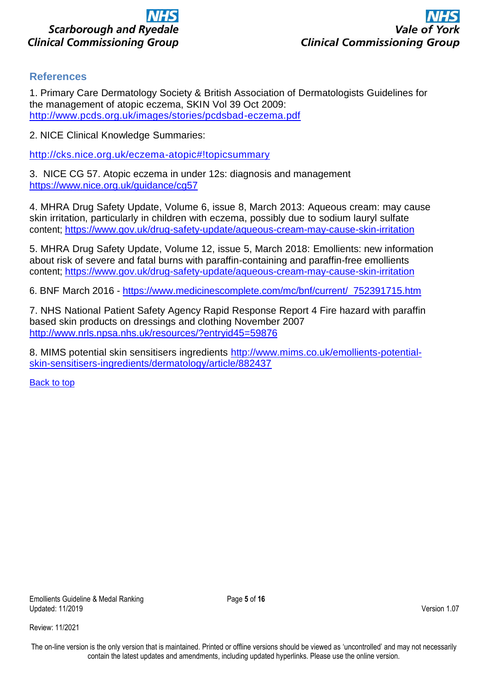

## <span id="page-4-0"></span>**References**

1. Primary Care Dermatology Society & British Association of Dermatologists Guidelines for the management of atopic eczema, SKIN Vol 39 Oct 2009: <http://www.pcds.org.uk/images/stories/pcdsbad-eczema.pdf>

2. NICE Clinical Knowledge Summaries:

<http://cks.nice.org.uk/eczema-atopic#!topicsummary>

3.NICE CG 57. Atopic eczema in under 12s: diagnosis and management <https://www.nice.org.uk/guidance/cg57>

4. MHRA Drug Safety Update, Volume 6, issue 8, March 2013: Aqueous cream: may cause skin irritation, particularly in children with eczema, possibly due to sodium lauryl sulfate content;<https://www.gov.uk/drug-safety-update/aqueous-cream-may-cause-skin-irritation>

5. MHRA Drug Safety Update, Volume 12, issue 5, March 2018: Emollients: new information about risk of severe and fatal burns with paraffin-containing and paraffin-free emollients content;<https://www.gov.uk/drug-safety-update/aqueous-cream-may-cause-skin-irritation>

6. BNF March 2016 - [https://www.medicinescomplete.com/mc/bnf/current/\\_752391715.htm](https://www.medicinescomplete.com/mc/bnf/current/_752391715.htm)

7. NHS National Patient Safety Agency Rapid Response Report 4 Fire hazard with paraffin based skin products on dressings and clothing November 2007 [http://www.nrls.npsa.nhs.uk/resources/?entryid45=59876](http://www.nrls.npsa.nhs.uk/resources/?entryid45=59876%20)

8. MIMS potential skin sensitisers ingredients [http://www.mims.co.uk/emollients-potential](http://www.mims.co.uk/emollients-potential-skin-sensitisers-ingredients/dermatology/article/882437)[skin-sensitisers-ingredients/dermatology/article/882437](http://www.mims.co.uk/emollients-potential-skin-sensitisers-ingredients/dermatology/article/882437)

[Back to top](#page-0-0)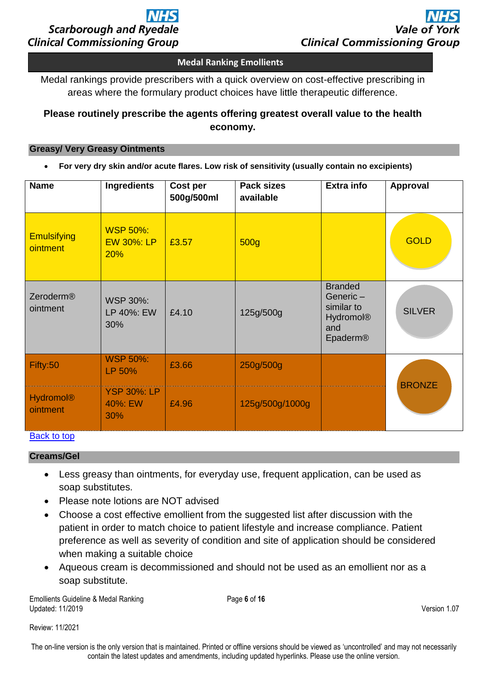

### **Medal Ranking Emollients**

Medal rankings provide prescribers with a quick overview on cost-effective prescribing in areas where the formulary product choices have little therapeutic difference.

# **Please routinely prescribe the agents offering greatest overall value to the health economy.**

#### <span id="page-5-0"></span>**Greasy/ Very Greasy Ointments**

**For very dry skin and/or acute flares. Low risk of sensitivity (usually contain no excipients)**

| <b>Name</b>                    | <b>Ingredients</b>                          | Cost per<br>500g/500ml | <b>Pack sizes</b><br>available | <b>Extra info</b>                                                               | Approval      |
|--------------------------------|---------------------------------------------|------------------------|--------------------------------|---------------------------------------------------------------------------------|---------------|
| <b>Emulsifying</b><br>ointment | <b>WSP 50%:</b><br><b>EW 30%: LP</b><br>20% | £3.57                  | 500 <sub>g</sub>               |                                                                                 | <b>GOLD</b>   |
| Zeroderm®<br>ointment          | <b>WSP 30%:</b><br>LP 40%: EW<br>30%        | £4.10                  | 125g/500g                      | <b>Branded</b><br>Generic-<br>similar to<br><b>Hydromol®</b><br>and<br>Epaderm® | <b>SILVER</b> |
| Fifty:50                       | <b>WSP 50%:</b><br>LP 50%                   | £3.66                  | 250g/500g                      |                                                                                 | <b>BRONZE</b> |
| <b>Hydromol®</b><br>ointment   | <b>YSP 30%: LP</b><br>40%: EW<br>30%        | £4.96                  | 125g/500g/1000g                |                                                                                 |               |

# <span id="page-5-1"></span>[Back to top](#page-0-0)

### **Creams/Gel**

- Less greasy than ointments, for everyday use, frequent application, can be used as soap substitutes.
- Please note lotions are NOT advised
- Choose a cost effective emollient from the suggested list after discussion with the patient in order to match choice to patient lifestyle and increase compliance. Patient preference as well as severity of condition and site of application should be considered when making a suitable choice
- Aqueous cream is decommissioned and should not be used as an emollient nor as a soap substitute.

Emollients Guideline & Medal Ranking **Page 6** of 16 Updated: 11/2019 Version 1.07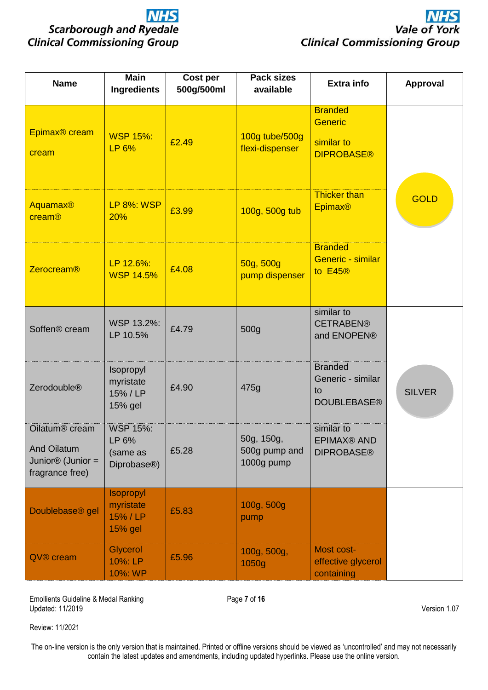| <b>Name</b>                                                                                          | <b>Main</b><br><b>Ingredients</b>                                | Cost per<br>500g/500ml | <b>Pack sizes</b><br>available            | <b>Extra info</b>                                                   | Approval      |
|------------------------------------------------------------------------------------------------------|------------------------------------------------------------------|------------------------|-------------------------------------------|---------------------------------------------------------------------|---------------|
| Epimax <sup>®</sup> cream<br>cream                                                                   | <b>WSP 15%:</b><br>LP 6%                                         | £2.49                  | 100g tube/500g<br>flexi-dispenser         | <b>Branded</b><br><b>Generic</b><br>similar to<br><b>DIPROBASE®</b> |               |
| <b>Aquamax®</b><br>cream®                                                                            | <b>LP 8%: WSP</b><br>20%                                         | £3.99                  | 100g, 500g tub                            | <b>Thicker than</b><br><b>Epimax®</b>                               | <b>GOLD</b>   |
| Zerocream®                                                                                           | LP 12.6%:<br><b>WSP 14.5%</b>                                    | £4.08                  | 50g, 500g<br>pump dispenser               | <b>Branded</b><br>Generic - similar<br>to E45®                      |               |
| Soffen <sup>®</sup> cream                                                                            | WSP 13.2%:<br>LP 10.5%                                           | £4.79                  | 500g                                      | similar to<br><b>CETRABEN®</b><br>and ENOPEN®                       |               |
| Zerodouble®                                                                                          | Isopropyl<br>myristate<br>15% / LP<br>15% gel                    | £4.90                  | 475g                                      | <b>Branded</b><br>Generic - similar<br>to<br><b>DOUBLEBASE®</b>     | <b>SILVER</b> |
| Oilatum <sup>®</sup> cream<br><b>And Oilatum</b><br>Junior <sup>®</sup> (Junior =<br>fragrance free) | <b>WSP 15%:</b><br>LP 6%<br>(same as<br>Diprobase <sup>®</sup> ) | £5.28                  | 50g, 150g,<br>500g pump and<br>1000g pump | similar to<br><b>EPIMAX® AND</b><br><b>DIPROBASE®</b>               |               |
| Doublebase <sup>®</sup> gel                                                                          | <b>Isopropyl</b><br>myristate<br>15% / LP<br>15% gel             | £5.83                  | 100g, 500g<br>pump                        |                                                                     |               |
| QV® cream                                                                                            | <b>Glycerol</b><br>10%: LP<br>10%: WP                            | £5.96                  | 100g, 500g,<br>1050g                      | Most cost-<br>effective glycerol<br>containing                      |               |

Emollients Guideline & Medal Ranking **Page 7** of 16 Updated: 11/2019 Version 1.07

Review: 11/2021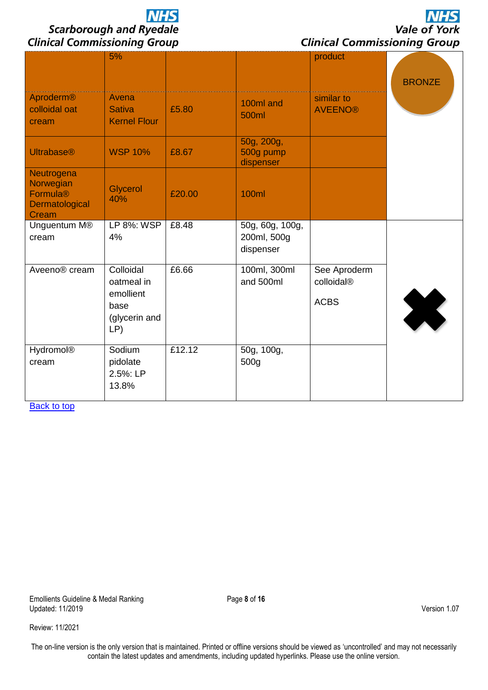**NHS** Vale of York **Clinical Commissioning Group** 

| Aproderm®                                                                  | 5%<br>Avena                                                          |        |                                             | product<br>similar to                     | <b>BRONZE</b> |
|----------------------------------------------------------------------------|----------------------------------------------------------------------|--------|---------------------------------------------|-------------------------------------------|---------------|
| colloidal oat<br>cream                                                     | <b>Sativa</b><br><b>Kernel Flour</b>                                 | £5.80  | 100ml and<br>500ml                          | <b>AVEENO®</b>                            |               |
| <b>Ultrabase®</b>                                                          | <b>WSP 10%</b>                                                       | £8.67  | 50g, 200g,<br>500g pump<br>dispenser        |                                           |               |
| Neutrogena<br>Norwegian<br>Formula <sup>®</sup><br>Dermatological<br>Cream | Glycerol<br>40%                                                      | £20.00 | <b>100ml</b>                                |                                           |               |
| Unguentum M <sup>®</sup><br>cream                                          | LP 8%: WSP<br>4%                                                     | £8.48  | 50g, 60g, 100g,<br>200ml, 500g<br>dispenser |                                           |               |
| Aveeno <sup>®</sup> cream                                                  | Colloidal<br>oatmeal in<br>emollient<br>base<br>(glycerin and<br>LP) | £6.66  | 100ml, 300ml<br>and 500ml                   | See Aproderm<br>colloidal®<br><b>ACBS</b> | X             |
| <b>Hydromol®</b><br>cream                                                  | Sodium<br>pidolate<br>2.5%: LP<br>13.8%                              | £12.12 | 50g, 100g,<br>500g                          |                                           |               |

**[Back to top](#page-0-0)**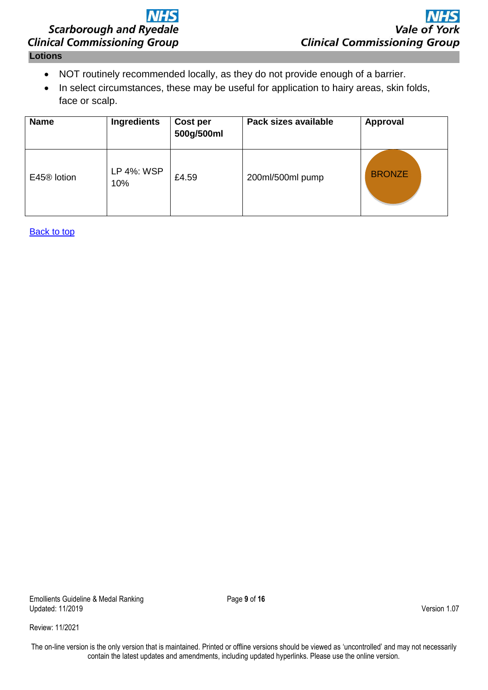### <span id="page-8-0"></span>**Lotions**

- NOT routinely recommended locally, as they do not provide enough of a barrier.
- In select circumstances, these may be useful for application to hairy areas, skin folds, face or scalp.

| <b>Name</b>             | Ingredients       | Cost per<br>500g/500ml | Pack sizes available | Approval      |
|-------------------------|-------------------|------------------------|----------------------|---------------|
| E45 <sup>®</sup> lotion | LP 4%: WSP<br>10% | £4.59                  | 200ml/500ml pump     | <b>BRONZE</b> |

[Back to top](#page-0-0)

Emollients Guideline & Medal Ranking **Page 9** of 16 Updated: 11/2019 Version 1.07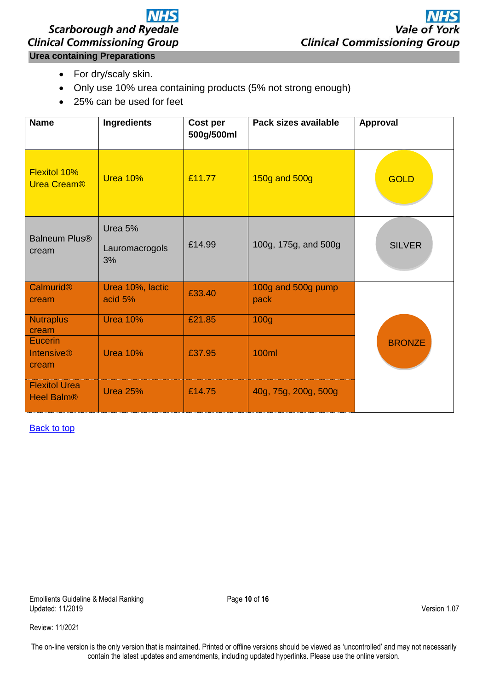# **NHS Scarborough and Ryedale Clinical Commissioning Group Urea containing Preparations**

- <span id="page-9-0"></span>• For dry/scaly skin.
- Only use 10% urea containing products (5% not strong enough)
- 25% can be used for feet

| <b>Name</b>                                  | Ingredients                     | Cost per<br>500g/500ml | Pack sizes available       | Approval      |
|----------------------------------------------|---------------------------------|------------------------|----------------------------|---------------|
| Flexitol 10%<br><b>Urea Cream®</b>           | <b>Urea 10%</b>                 | £11.77                 | 150g and 500g              | <b>GOLD</b>   |
| <b>Balneum Plus®</b><br>cream                | Urea 5%<br>Lauromacrogols<br>3% | £14.99                 | 100g, 175g, and 500g       | <b>SILVER</b> |
| Calmurid <sup>®</sup><br>cream               | Urea 10%, lactic<br>acid 5%     | £33.40                 | 100g and 500g pump<br>pack |               |
| <b>Nutraplus</b><br>cream                    | <b>Urea 10%</b>                 | £21.85                 | 100 <sub>g</sub>           |               |
| <b>Eucerin</b><br><b>Intensive®</b><br>cream | <b>Urea 10%</b>                 | £37.95                 | 100ml                      | <b>BRONZE</b> |
| <b>Flexitol Urea</b><br><b>Heel Balm®</b>    | <b>Urea 25%</b>                 | £14.75                 | 40g, 75g, 200g, 500g       |               |

**[Back to top](#page-0-0)** 

Emollients Guideline & Medal Ranking **Page 10** of 16 Updated: 11/2019 Version 1.07

Review: 11/2021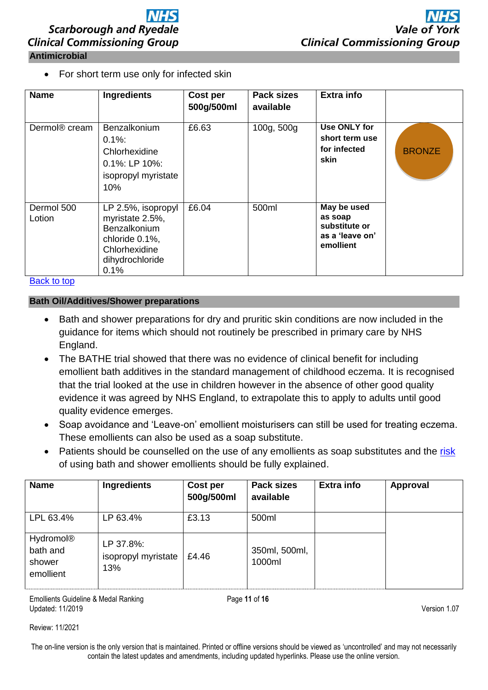<span id="page-10-0"></span>• For short term use only for infected skin

| <b>Name</b>               | <b>Ingredients</b>                                                                                                         | Cost per<br>500g/500ml | <b>Pack sizes</b><br>available | <b>Extra info</b>                                                       |               |
|---------------------------|----------------------------------------------------------------------------------------------------------------------------|------------------------|--------------------------------|-------------------------------------------------------------------------|---------------|
| Dermol <sup>®</sup> cream | <b>Benzalkonium</b><br>$0.1\%$ :<br>Chlorhexidine<br>$0.1\%$ : LP $10\%$ :<br>isopropyl myristate<br>10%                   | £6.63                  | 100g, 500g                     | Use ONLY for<br>short term use<br>for infected<br>skin                  | <b>BRONZE</b> |
| Dermol 500<br>Lotion      | LP 2.5%, isopropyl<br>myristate 2.5%,<br><b>Benzalkonium</b><br>chloride 0.1%,<br>Chlorhexidine<br>dihydrochloride<br>0.1% | £6.04                  | 500ml                          | May be used<br>as soap<br>substitute or<br>as a 'leave on'<br>emollient |               |

[Back to top](#page-0-0)

### <span id="page-10-1"></span>**Bath Oil/Additives/Shower preparations**

- Bath and shower preparations for dry and pruritic skin conditions are now included in the guidance for items which should not routinely be prescribed in primary care by NHS England.
- The BATHE trial showed that there was no evidence of clinical benefit for including emollient bath additives in the standard management of childhood eczema. It is recognised that the trial looked at the use in children however in the absence of other good quality evidence it was agreed by NHS England, to extrapolate this to apply to adults until good quality evidence emerges.
- Soap avoidance and 'Leave-on' emollient moisturisers can still be used for treating eczema. These emollients can also be used as a soap substitute.
- Patients should be counselled on the use of any emollients as soap substitutes and the [risk](https://www.nhs.uk/conditions/emollients/) of using bath and shower emollients should be fully explained.

| <b>Name</b>                                              | Ingredients                             | Cost per<br>500g/500ml | <b>Pack sizes</b><br>available | <b>Extra info</b> | Approval |
|----------------------------------------------------------|-----------------------------------------|------------------------|--------------------------------|-------------------|----------|
| LPL 63.4%                                                | LP 63.4%                                | £3.13                  | 500ml                          |                   |          |
| Hydromol <sup>®</sup><br>bath and<br>shower<br>emollient | LP 37.8%:<br>isopropyl myristate<br>13% | £4.46                  | 350ml, 500ml,<br>1000ml        |                   |          |

Emollients Guideline & Medal Ranking **Page 11** of **16** Page 11 of **16** Updated: 11/2019 Version 1.07

Review: 11/2021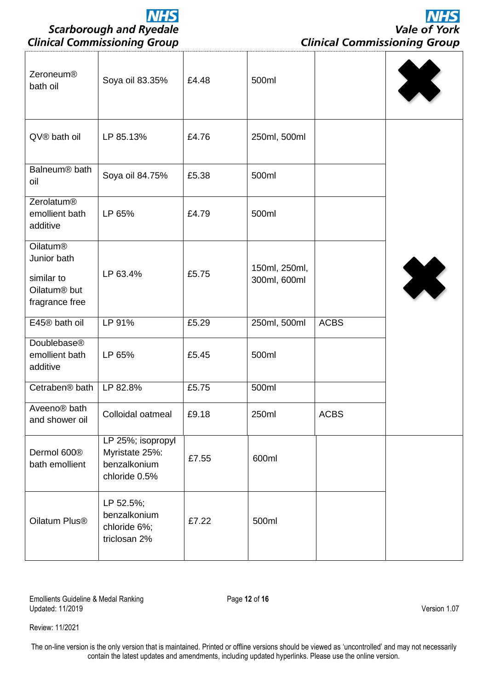Vale of York **Clinical Commissioning Group** 

**NHS** 

| Soya oil 83.35%                                                      | £4.48 | 500ml                         |             | X |
|----------------------------------------------------------------------|-------|-------------------------------|-------------|---|
| LP 85.13%                                                            | £4.76 | 250ml, 500ml                  |             |   |
| Soya oil 84.75%                                                      | £5.38 | 500ml                         |             |   |
| LP 65%                                                               | £4.79 | 500ml                         |             |   |
| LP 63.4%                                                             | £5.75 | 150ml, 250ml,<br>300ml, 600ml |             | X |
| LP 91%                                                               | £5.29 | 250ml, 500ml                  | <b>ACBS</b> |   |
| LP 65%                                                               | £5.45 | 500ml                         |             |   |
| LP 82.8%                                                             | £5.75 | 500ml                         |             |   |
| Colloidal oatmeal                                                    | £9.18 | 250ml                         | <b>ACBS</b> |   |
| LP 25%; isopropyl<br>Myristate 25%:<br>benzalkonium<br>chloride 0.5% | £7.55 | 600ml                         |             |   |
| LP 52.5%;<br>benzalkonium<br>chloride 6%;<br>triclosan 2%            | £7.22 | 500ml                         |             |   |
|                                                                      |       |                               |             |   |

Emollients Guideline & Medal Ranking **Page 12** of 16 Updated: 11/2019 Version 1.07

Review: 11/2021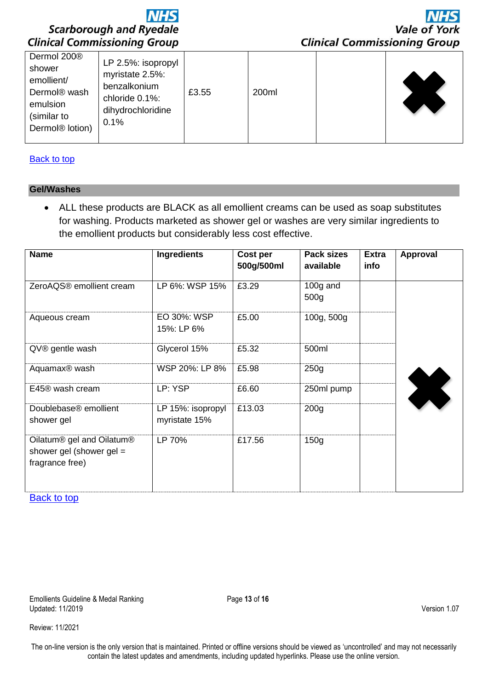

| Dermol 200®<br>LP 2.5%: isopropyl<br>shower<br>myristate 2.5%:<br>emollient/<br>benzalkonium<br>Dermol <sup>®</sup> wash<br>£3.55<br>chloride 0.1%:<br>emulsion<br>dihydrochloridine<br>(similar to<br>0.1%<br>Dermol <sup>®</sup> lotion) | 200ml |  |
|--------------------------------------------------------------------------------------------------------------------------------------------------------------------------------------------------------------------------------------------|-------|--|
|--------------------------------------------------------------------------------------------------------------------------------------------------------------------------------------------------------------------------------------------|-------|--|

### **[Back to top](#page-0-0)**

### <span id="page-12-0"></span>**Gel/Washes**

 ALL these products are BLACK as all emollient creams can be used as soap substitutes for washing. Products marketed as shower gel or washes are very similar ingredients to the emollient products but considerably less cost effective.

| <b>Name</b>                                                                                        | <b>Ingredients</b>                 | Cost per<br>500g/500ml | <b>Pack sizes</b><br>available | <b>Extra</b><br>info | <b>Approval</b> |
|----------------------------------------------------------------------------------------------------|------------------------------------|------------------------|--------------------------------|----------------------|-----------------|
| ZeroAQS® emollient cream                                                                           | LP 6%: WSP 15%                     | £3.29                  | $100g$ and<br>500 <sub>g</sub> |                      |                 |
| Aqueous cream                                                                                      | EO 30%: WSP<br>15%: LP 6%          | £5.00                  | 100g, 500g                     |                      |                 |
| QV® gentle wash                                                                                    | Glycerol 15%                       | £5.32                  | 500ml                          |                      |                 |
| Aquamax <sup>®</sup> wash                                                                          | WSP 20%: LP 8%                     | £5.98                  | 250g                           |                      |                 |
| E45® wash cream                                                                                    | LP: YSP                            | £6.60                  | 250ml pump                     |                      |                 |
| Doublebase <sup>®</sup> emollient<br>shower gel                                                    | LP 15%: isopropyl<br>myristate 15% | £13.03                 | 200 <sub>q</sub>               |                      |                 |
| Oilatum <sup>®</sup> gel and Oilatum <sup>®</sup><br>shower gel (shower gel $=$<br>fragrance free) | LP 70%                             | £17.56                 | 150 <sub>g</sub>               |                      |                 |

[Back to top](#page-0-0)

Emollients Guideline & Medal Ranking **Page 13** of 16 Updated: 11/2019 Version 1.07

Review: 11/2021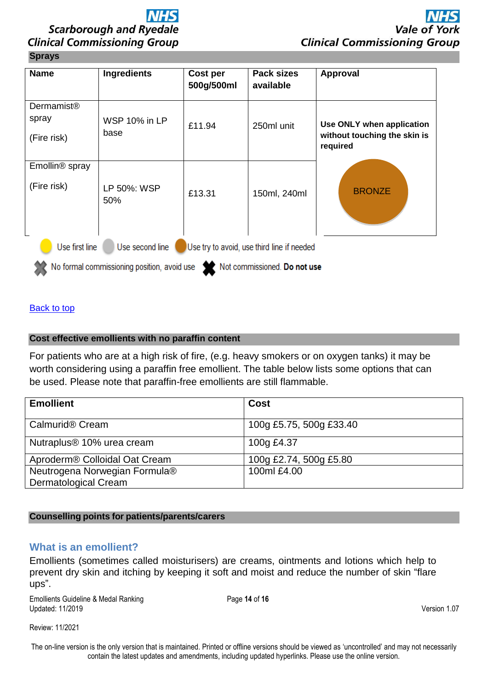### <span id="page-13-0"></span>**Sprays**

| <b>Name</b>                                                                     | Ingredients                  | Cost per<br>500g/500ml | Pack sizes<br>available | Approval                                                              |  |
|---------------------------------------------------------------------------------|------------------------------|------------------------|-------------------------|-----------------------------------------------------------------------|--|
| <b>Dermamist®</b>                                                               |                              |                        |                         |                                                                       |  |
| spray                                                                           | <b>WSP 10% in LP</b><br>base | £11.94                 | 250ml unit              | Use ONLY when application<br>without touching the skin is<br>required |  |
| (Fire risk)                                                                     |                              |                        |                         |                                                                       |  |
| Emollin <sup>®</sup> spray                                                      |                              |                        |                         |                                                                       |  |
| (Fire risk)                                                                     | LP 50%: WSP<br>50%           | £13.31                 | 150ml, 240ml            | <b>BRONZE</b>                                                         |  |
| Use first line<br>Use second line<br>Use try to avoid, use third line if needed |                              |                        |                         |                                                                       |  |
| No formal commissioning position, avoid use<br>Not commissioned. Do not use     |                              |                        |                         |                                                                       |  |

[Back to top](#page-0-0)

### <span id="page-13-1"></span>**Cost effective emollients with no paraffin content**

For patients who are at a high risk of fire, (e.g. heavy smokers or on oxygen tanks) it may be worth considering using a paraffin free emollient. The table below lists some options that can be used. Please note that paraffin-free emollients are still flammable.

| <b>Emollient</b>                          | Cost                    |  |
|-------------------------------------------|-------------------------|--|
| Calmurid <sup>®</sup> Cream               | 100g £5.75, 500g £33.40 |  |
| Nutraplus <sup>®</sup> 10% urea cream     | 100g £4.37              |  |
| Aproderm® Colloidal Oat Cream             | 100g £2.74, 500g £5.80  |  |
| Neutrogena Norwegian Formula <sup>®</sup> | 100ml £4.00             |  |
| <b>Dermatological Cream</b>               |                         |  |

### <span id="page-13-2"></span>**Counselling points for patients/parents/carers**

### <span id="page-13-3"></span>**What is an emollient?**

Emollients (sometimes called moisturisers) are creams, ointments and lotions which help to prevent dry skin and itching by keeping it soft and moist and reduce the number of skin "flare ups".

Emollients Guideline & Medal Ranking Page 14 of 16 Updated: 11/2019 Version 1.07

Review: 11/2021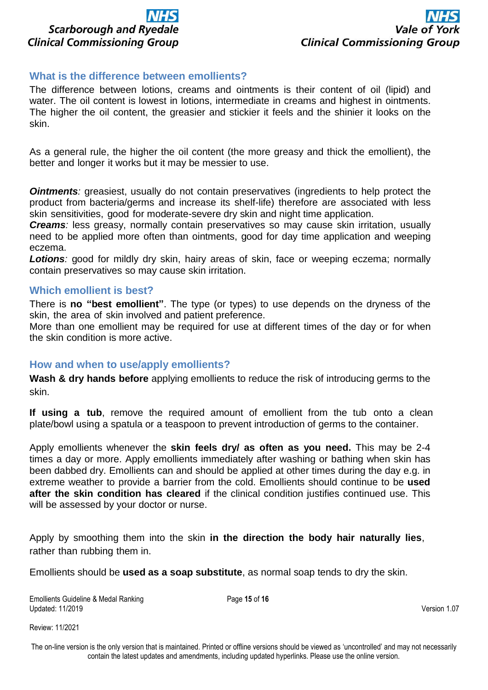

### <span id="page-14-0"></span>**What is the difference between emollients?**

The difference between lotions, creams and ointments is their content of oil (lipid) and water. The oil content is lowest in lotions, intermediate in creams and highest in ointments. The higher the oil content, the greasier and stickier it feels and the shinier it looks on the skin.

As a general rule, the higher the oil content (the more greasy and thick the emollient), the better and longer it works but it may be messier to use.

*Ointments:* greasiest, usually do not contain preservatives (ingredients to help protect the product from bacteria/germs and increase its shelf-life) therefore are associated with less skin sensitivities, good for moderate-severe dry skin and night time application.

*Creams:* less greasy, normally contain preservatives so may cause skin irritation, usually need to be applied more often than ointments, good for day time application and weeping eczema.

**Lotions**: good for mildly dry skin, hairy areas of skin, face or weeping eczema; normally contain preservatives so may cause skin irritation.

### <span id="page-14-1"></span>**Which emollient is best?**

There is **no "best emollient"**. The type (or types) to use depends on the dryness of the skin, the area of skin involved and patient preference.

More than one emollient may be required for use at different times of the day or for when the skin condition is more active.

### <span id="page-14-2"></span>**How and when to use/apply emollients?**

**Wash & dry hands before** applying emollients to reduce the risk of introducing germs to the skin.

**If using a tub**, remove the required amount of emollient from the tub onto a clean plate/bowl using a spatula or a teaspoon to prevent introduction of germs to the container.

Apply emollients whenever the **skin feels dry/ as often as you need.** This may be 2-4 times a day or more. Apply emollients immediately after washing or bathing when skin has been dabbed dry. Emollients can and should be applied at other times during the day e.g. in extreme weather to provide a barrier from the cold. Emollients should continue to be **used after the skin condition has cleared** if the clinical condition justifies continued use. This will be assessed by your doctor or nurse.

Apply by smoothing them into the skin **in the direction the body hair naturally lies**, rather than rubbing them in.

Emollients should be **used as a soap substitute**, as normal soap tends to dry the skin.

Emollients Guideline & Medal Ranking **Page 15** of 16 Updated: 11/2019 Version 1.07

Review: 11/2021